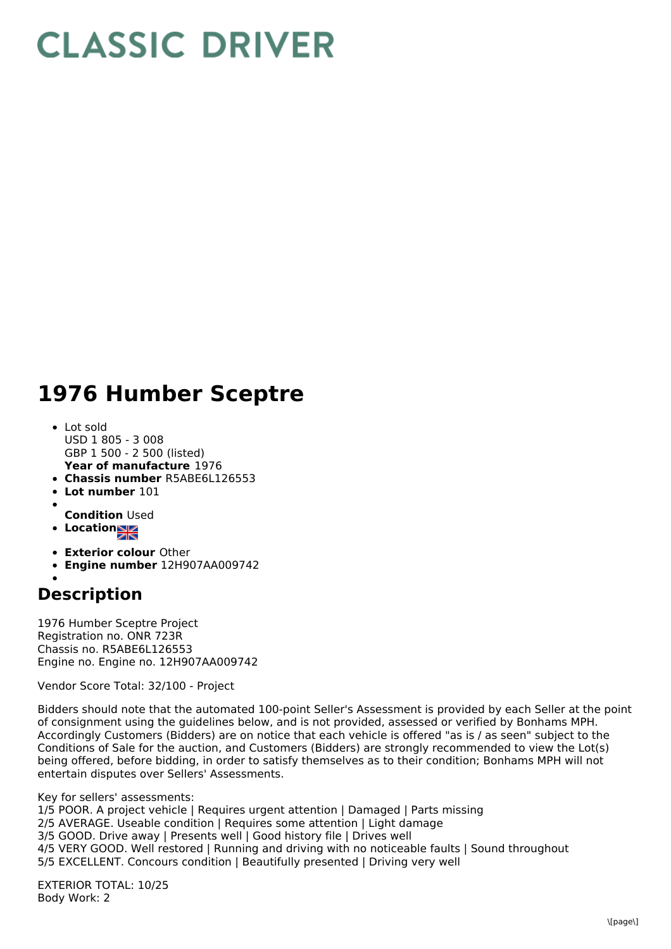## **CLASSIC DRIVER**

## **1976 Humber Sceptre**

- **Year of manufacture** 1976 Lot sold USD 1 805 - 3 008 GBP 1 500 - 2 500 (listed)
- **Chassis number** R5ABE6L126553
- **Lot number** 101
- 
- **Condition** Used
- **Location**
- **Exterior colour** Other
- **Engine number** 12H907AA009742

## **Description**

1976 Humber Sceptre Project Registration no. ONR 723R Chassis no. R5ABE6L126553 Engine no. Engine no. 12H907AA009742

Vendor Score Total: 32/100 - Project

Bidders should note that the automated 100-point Seller's Assessment is provided by each Seller at the point of consignment using the guidelines below, and is not provided, assessed or verified by Bonhams MPH. Accordingly Customers (Bidders) are on notice that each vehicle is offered "as is / as seen" subject to the Conditions of Sale for the auction, and Customers (Bidders) are strongly recommended to view the Lot(s) being offered, before bidding, in order to satisfy themselves as to their condition; Bonhams MPH will not entertain disputes over Sellers' Assessments.

Key for sellers' assessments:

1/5 POOR. A project vehicle | Requires urgent attention | Damaged | Parts missing

- 2/5 AVERAGE. Useable condition | Requires some attention | Light damage
- 3/5 GOOD. Drive away | Presents well | Good history file | Drives well

4/5 VERY GOOD. Well restored | Running and driving with no noticeable faults | Sound throughout

5/5 EXCELLENT. Concours condition | Beautifully presented | Driving very well

EXTERIOR TOTAL: 10/25 Body Work: 2